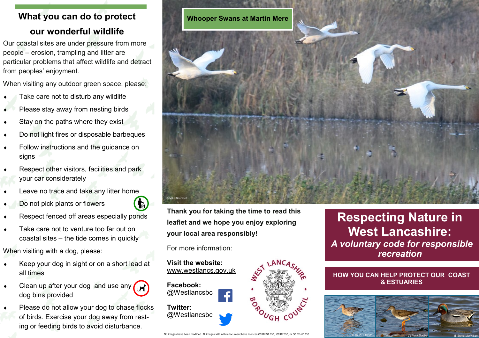# **What you can do to protect our wonderful wildlife**

Our coastal sites are under pressure from more people – erosion, trampling and litter are particular problems that affect wildlife and detract from peoples' enjoyment.

When visiting any outdoor green space, please:

- Take care not to disturb any wildlife
- Please stay away from nesting birds
- $\bullet$  Stay on the paths where they exist
- ◆ Do not light fires or disposable barbeques
- Follow instructions and the guidance on signs
- Respect other visitors, facilities and park your car considerately
- Leave no trace and take any litter home
- Do not pick plants or flowers
- Respect fenced off areas especially ponds
- Take care not to venture too far out on coastal sites – the tide comes in quickly

When visiting with a dog, please:

- Keep your dog in sight or on a short lead at all times
- $\begin{matrix} \bullet \end{matrix}$  Clean up after your dog and use any  $\begin{matrix} \bullet \end{matrix}$ dog bins provided
- Please do not allow your dog to chase flocks of birds. Exercise your dog away from resting or feeding birds to avoid disturbance.



**Thank you for taking the time to read this leaflet and we hope you enjoy exploring your local area responsibly!**

For more information:

**Visit the website:**  www.westlancs.gov.uk



# **Respecting Nature in West Lancashire:** *A voluntary code for responsible recreation*

### **HOW YOU CAN HELP PROTECT OUR COAST & ESTUARIES**